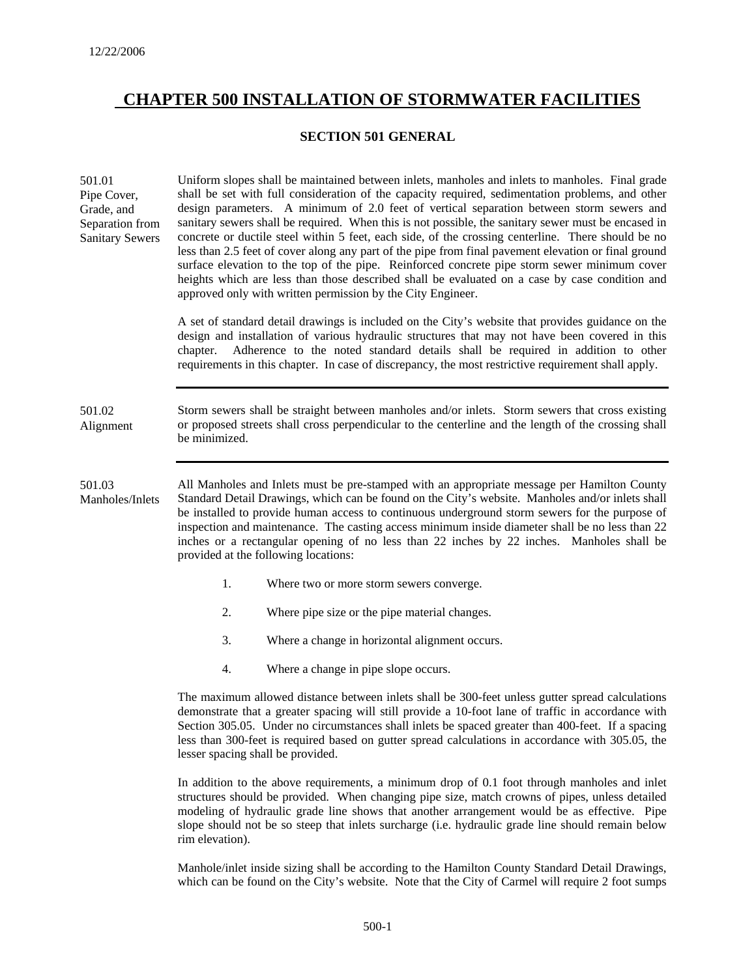# **CHAPTER 500 INSTALLATION OF STORMWATER FACILITIES**

## **SECTION 501 GENERAL**

| 501.01<br>Pipe Cover,<br>Grade, and<br>Separation from<br><b>Sanitary Sewers</b> |                                                                                                                                                                                                                                                                                                                                                                                                                                                                                                                                           | Uniform slopes shall be maintained between inlets, manholes and inlets to manholes. Final grade<br>shall be set with full consideration of the capacity required, sedimentation problems, and other<br>design parameters. A minimum of 2.0 feet of vertical separation between storm sewers and<br>sanitary sewers shall be required. When this is not possible, the sanitary sewer must be encased in<br>concrete or ductile steel within 5 feet, each side, of the crossing centerline. There should be no<br>less than 2.5 feet of cover along any part of the pipe from final pavement elevation or final ground<br>surface elevation to the top of the pipe. Reinforced concrete pipe storm sewer minimum cover<br>heights which are less than those described shall be evaluated on a case by case condition and<br>approved only with written permission by the City Engineer. |  |  |
|----------------------------------------------------------------------------------|-------------------------------------------------------------------------------------------------------------------------------------------------------------------------------------------------------------------------------------------------------------------------------------------------------------------------------------------------------------------------------------------------------------------------------------------------------------------------------------------------------------------------------------------|---------------------------------------------------------------------------------------------------------------------------------------------------------------------------------------------------------------------------------------------------------------------------------------------------------------------------------------------------------------------------------------------------------------------------------------------------------------------------------------------------------------------------------------------------------------------------------------------------------------------------------------------------------------------------------------------------------------------------------------------------------------------------------------------------------------------------------------------------------------------------------------|--|--|
|                                                                                  | A set of standard detail drawings is included on the City's website that provides guidance on the<br>design and installation of various hydraulic structures that may not have been covered in this<br>Adherence to the noted standard details shall be required in addition to other<br>chapter.<br>requirements in this chapter. In case of discrepancy, the most restrictive requirement shall apply.                                                                                                                                  |                                                                                                                                                                                                                                                                                                                                                                                                                                                                                                                                                                                                                                                                                                                                                                                                                                                                                       |  |  |
| 501.02<br>Alignment                                                              | Storm sewers shall be straight between manholes and/or inlets. Storm sewers that cross existing<br>or proposed streets shall cross perpendicular to the centerline and the length of the crossing shall<br>be minimized.                                                                                                                                                                                                                                                                                                                  |                                                                                                                                                                                                                                                                                                                                                                                                                                                                                                                                                                                                                                                                                                                                                                                                                                                                                       |  |  |
| 501.03<br>Manholes/Inlets                                                        | All Manholes and Inlets must be pre-stamped with an appropriate message per Hamilton County<br>Standard Detail Drawings, which can be found on the City's website. Manholes and/or inlets shall<br>be installed to provide human access to continuous underground storm sewers for the purpose of<br>inspection and maintenance. The casting access minimum inside diameter shall be no less than 22<br>inches or a rectangular opening of no less than 22 inches by 22 inches. Manholes shall be<br>provided at the following locations: |                                                                                                                                                                                                                                                                                                                                                                                                                                                                                                                                                                                                                                                                                                                                                                                                                                                                                       |  |  |
|                                                                                  | 1.                                                                                                                                                                                                                                                                                                                                                                                                                                                                                                                                        | Where two or more storm sewers converge.                                                                                                                                                                                                                                                                                                                                                                                                                                                                                                                                                                                                                                                                                                                                                                                                                                              |  |  |
|                                                                                  | 2.                                                                                                                                                                                                                                                                                                                                                                                                                                                                                                                                        | Where pipe size or the pipe material changes.                                                                                                                                                                                                                                                                                                                                                                                                                                                                                                                                                                                                                                                                                                                                                                                                                                         |  |  |
|                                                                                  | 3.                                                                                                                                                                                                                                                                                                                                                                                                                                                                                                                                        | Where a change in horizontal alignment occurs.                                                                                                                                                                                                                                                                                                                                                                                                                                                                                                                                                                                                                                                                                                                                                                                                                                        |  |  |
|                                                                                  | 4.                                                                                                                                                                                                                                                                                                                                                                                                                                                                                                                                        | Where a change in pipe slope occurs.                                                                                                                                                                                                                                                                                                                                                                                                                                                                                                                                                                                                                                                                                                                                                                                                                                                  |  |  |
|                                                                                  | The maximum allowed distance between inlets shall be 300-feet unless gutter spread calculations<br>demonstrate that a greater spacing will still provide a 10-foot lane of traffic in accordance with<br>Section 305.05. Under no circumstances shall inlets be spaced greater than 400-feet. If a spacing<br>less than 300-feet is required based on gutter spread calculations in accordance with 305.05, the<br>lesser spacing shall be provided.                                                                                      |                                                                                                                                                                                                                                                                                                                                                                                                                                                                                                                                                                                                                                                                                                                                                                                                                                                                                       |  |  |
|                                                                                  | In addition to the above requirements, a minimum drop of 0.1 foot through manholes and inlet<br>etrustures should be provided. When ebenging pine size metab erouge of pines, unless detailed                                                                                                                                                                                                                                                                                                                                             |                                                                                                                                                                                                                                                                                                                                                                                                                                                                                                                                                                                                                                                                                                                                                                                                                                                                                       |  |  |

structures should be provided. When changing pipe size, match crowns of pipes, unless detailed modeling of hydraulic grade line shows that another arrangement would be as effective. Pipe slope should not be so steep that inlets surcharge (i.e. hydraulic grade line should remain below rim elevation).

Manhole/inlet inside sizing shall be according to the Hamilton County Standard Detail Drawings, which can be found on the City's website. Note that the City of Carmel will require 2 foot sumps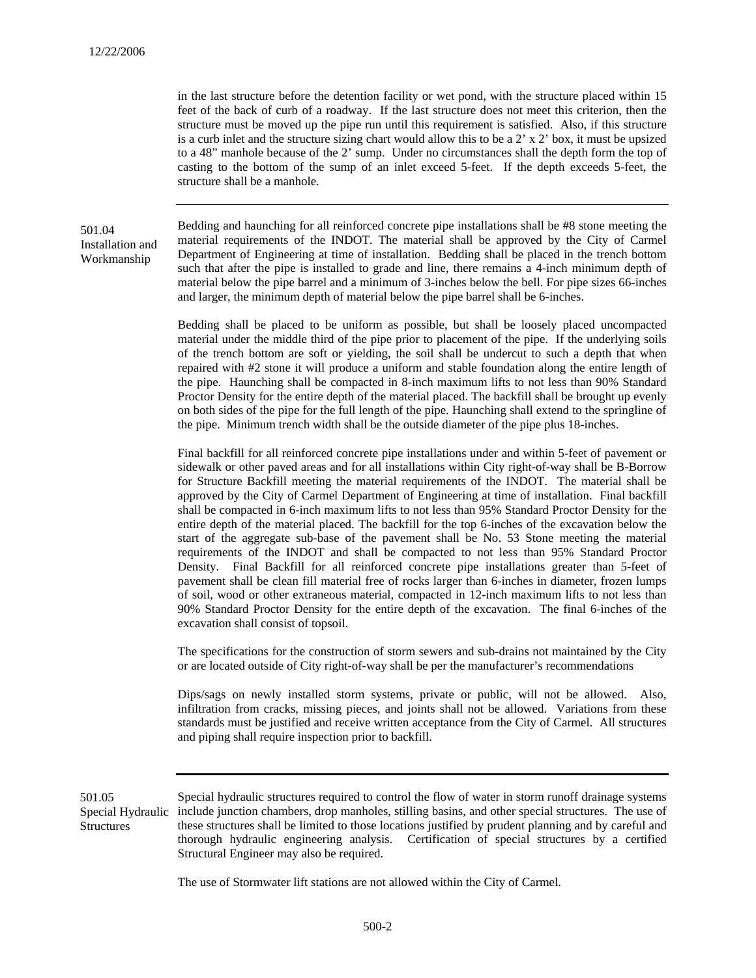in the last structure before the detention facility or wet pond, with the structure placed within 15 feet of the back of curb of a roadway. If the last structure does not meet this criterion, then the structure must be moved up the pipe run until this requirement is satisfied. Also, if this structure is a curb inlet and the structure sizing chart would allow this to be a  $2' \times 2'$  box, it must be upsized to a 48" manhole because of the 2' sump. Under no circumstances shall the depth form the top of casting to the bottom of the sump of an inlet exceed 5-feet. If the depth exceeds 5-feet, the structure shall be a manhole.

## 501.04 Installation and Workmanship

Bedding and haunching for all reinforced concrete pipe installations shall be #8 stone meeting the material requirements of the INDOT. The material shall be approved by the City of Carmel Department of Engineering at time of installation. Bedding shall be placed in the trench bottom such that after the pipe is installed to grade and line, there remains a 4-inch minimum depth of material below the pipe barrel and a minimum of 3-inches below the bell. For pipe sizes 66-inches and larger, the minimum depth of material below the pipe barrel shall be 6-inches.

Bedding shall be placed to be uniform as possible, but shall be loosely placed uncompacted material under the middle third of the pipe prior to placement of the pipe. If the underlying soils of the trench bottom are soft or yielding, the soil shall be undercut to such a depth that when repaired with #2 stone it will produce a uniform and stable foundation along the entire length of the pipe. Haunching shall be compacted in 8-inch maximum lifts to not less than 90% Standard Proctor Density for the entire depth of the material placed. The backfill shall be brought up evenly on both sides of the pipe for the full length of the pipe. Haunching shall extend to the springline of the pipe. Minimum trench width shall be the outside diameter of the pipe plus 18-inches.

Final backfill for all reinforced concrete pipe installations under and within 5-feet of pavement or sidewalk or other paved areas and for all installations within City right-of-way shall be B-Borrow for Structure Backfill meeting the material requirements of the INDOT. The material shall be approved by the City of Carmel Department of Engineering at time of installation. Final backfill shall be compacted in 6-inch maximum lifts to not less than 95% Standard Proctor Density for the entire depth of the material placed. The backfill for the top 6-inches of the excavation below the start of the aggregate sub-base of the pavement shall be No. 53 Stone meeting the material requirements of the INDOT and shall be compacted to not less than 95% Standard Proctor Density. Final Backfill for all reinforced concrete pipe installations greater than 5-feet of pavement shall be clean fill material free of rocks larger than 6-inches in diameter, frozen lumps of soil, wood or other extraneous material, compacted in 12-inch maximum lifts to not less than 90% Standard Proctor Density for the entire depth of the excavation. The final 6-inches of the excavation shall consist of topsoil.

The specifications for the construction of storm sewers and sub-drains not maintained by the City or are located outside of City right-of-way shall be per the manufacturer's recommendations

Dips/sags on newly installed storm systems, private or public, will not be allowed. Also, infiltration from cracks, missing pieces, and joints shall not be allowed. Variations from these standards must be justified and receive written acceptance from the City of Carmel. All structures and piping shall require inspection prior to backfill.

Special hydraulic structures required to control the flow of water in storm runoff drainage systems Special Hydraulic include junction chambers, drop manholes, stilling basins, and other special structures. The use of these structures shall be limited to those locations justified by prudent planning and by careful and thorough hydraulic engineering analysis. Certification of special structures by a certified Structural Engineer may also be required. 501.05 **Structures** 

The use of Stormwater lift stations are not allowed within the City of Carmel.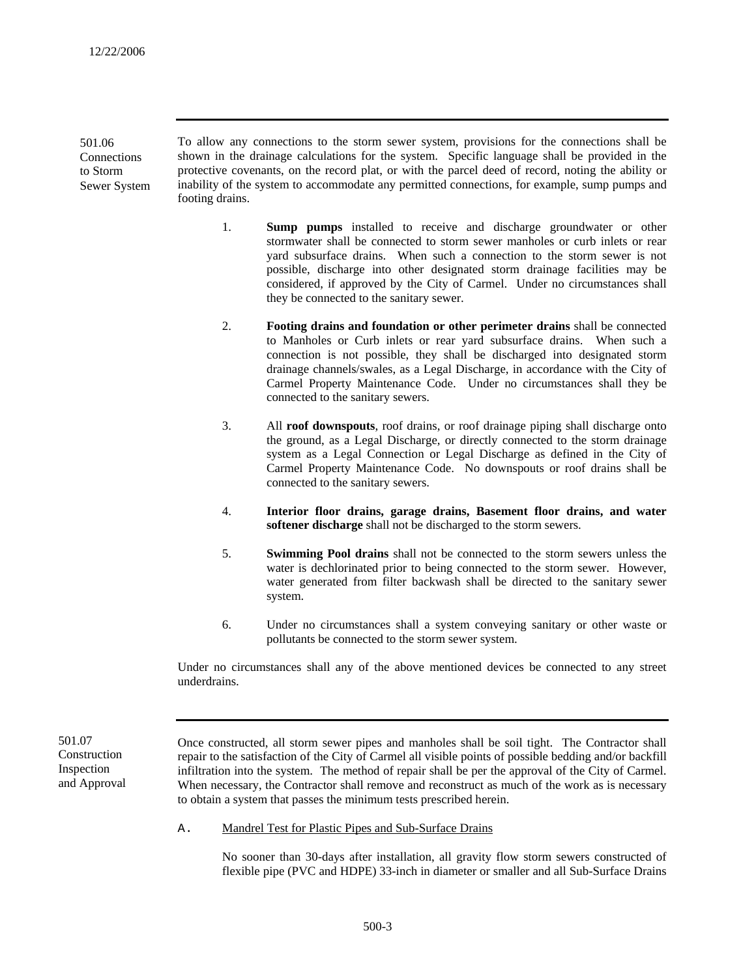501.06 **Connections** to Storm Sewer System

To allow any connections to the storm sewer system, provisions for the connections shall be shown in the drainage calculations for the system. Specific language shall be provided in the protective covenants, on the record plat, or with the parcel deed of record, noting the ability or inability of the system to accommodate any permitted connections, for example, sump pumps and footing drains.

- 1. **Sump pumps** installed to receive and discharge groundwater or other stormwater shall be connected to storm sewer manholes or curb inlets or rear yard subsurface drains. When such a connection to the storm sewer is not possible, discharge into other designated storm drainage facilities may be considered, if approved by the City of Carmel. Under no circumstances shall they be connected to the sanitary sewer.
- 2. **Footing drains and foundation or other perimeter drains** shall be connected to Manholes or Curb inlets or rear yard subsurface drains. When such a connection is not possible, they shall be discharged into designated storm drainage channels/swales, as a Legal Discharge, in accordance with the City of Carmel Property Maintenance Code. Under no circumstances shall they be connected to the sanitary sewers.
- 3. All **roof downspouts**, roof drains, or roof drainage piping shall discharge onto the ground, as a Legal Discharge, or directly connected to the storm drainage system as a Legal Connection or Legal Discharge as defined in the City of Carmel Property Maintenance Code. No downspouts or roof drains shall be connected to the sanitary sewers.
- 4. **Interior floor drains, garage drains, Basement floor drains, and water softener discharge** shall not be discharged to the storm sewers.
- 5. **Swimming Pool drains** shall not be connected to the storm sewers unless the water is dechlorinated prior to being connected to the storm sewer. However, water generated from filter backwash shall be directed to the sanitary sewer system.
- 6. Under no circumstances shall a system conveying sanitary or other waste or pollutants be connected to the storm sewer system.

Under no circumstances shall any of the above mentioned devices be connected to any street underdrains.

**Construction** Inspection and Approval

501.07 Once constructed, all storm sewer pipes and manholes shall be soil tight. The Contractor shall repair to the satisfaction of the City of Carmel all visible points of possible bedding and/or backfill infiltration into the system. The method of repair shall be per the approval of the City of Carmel. When necessary, the Contractor shall remove and reconstruct as much of the work as is necessary to obtain a system that passes the minimum tests prescribed herein.

A. Mandrel Test for Plastic Pipes and Sub-Surface Drains

No sooner than 30-days after installation, all gravity flow storm sewers constructed of flexible pipe (PVC and HDPE) 33-inch in diameter or smaller and all Sub-Surface Drains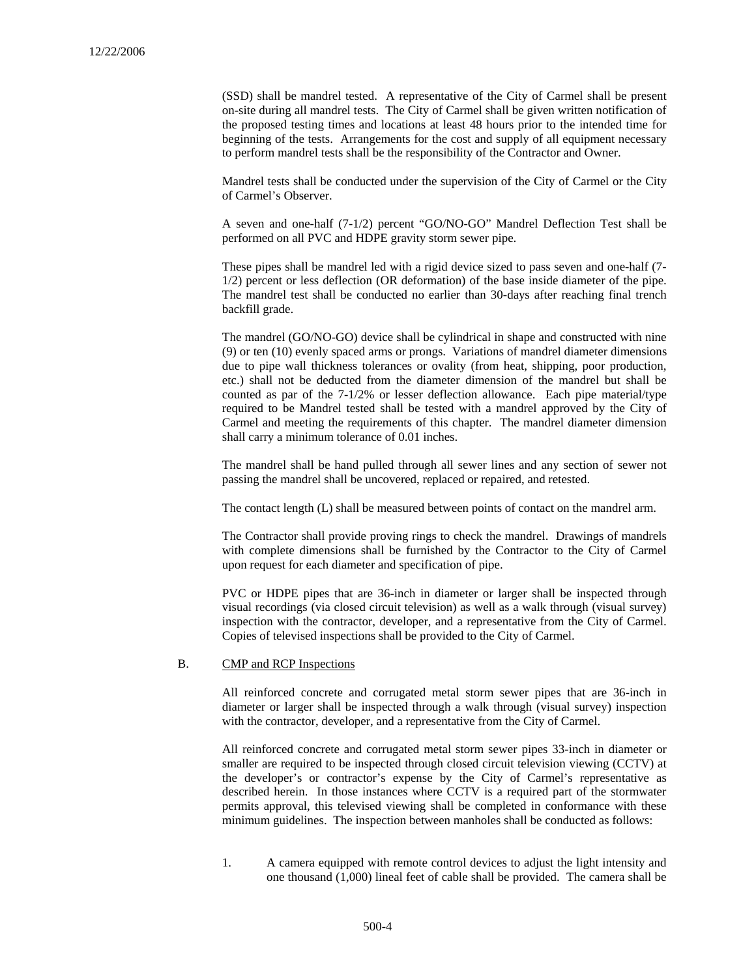(SSD) shall be mandrel tested. A representative of the City of Carmel shall be present on-site during all mandrel tests. The City of Carmel shall be given written notification of the proposed testing times and locations at least 48 hours prior to the intended time for beginning of the tests. Arrangements for the cost and supply of all equipment necessary to perform mandrel tests shall be the responsibility of the Contractor and Owner.

Mandrel tests shall be conducted under the supervision of the City of Carmel or the City of Carmel's Observer.

A seven and one-half (7-1/2) percent "GO/NO-GO" Mandrel Deflection Test shall be performed on all PVC and HDPE gravity storm sewer pipe.

These pipes shall be mandrel led with a rigid device sized to pass seven and one-half (7- 1/2) percent or less deflection (OR deformation) of the base inside diameter of the pipe. The mandrel test shall be conducted no earlier than 30-days after reaching final trench backfill grade.

The mandrel (GO/NO-GO) device shall be cylindrical in shape and constructed with nine (9) or ten (10) evenly spaced arms or prongs. Variations of mandrel diameter dimensions due to pipe wall thickness tolerances or ovality (from heat, shipping, poor production, etc.) shall not be deducted from the diameter dimension of the mandrel but shall be counted as par of the 7-1/2% or lesser deflection allowance. Each pipe material/type required to be Mandrel tested shall be tested with a mandrel approved by the City of Carmel and meeting the requirements of this chapter. The mandrel diameter dimension shall carry a minimum tolerance of 0.01 inches.

The mandrel shall be hand pulled through all sewer lines and any section of sewer not passing the mandrel shall be uncovered, replaced or repaired, and retested.

The contact length (L) shall be measured between points of contact on the mandrel arm.

The Contractor shall provide proving rings to check the mandrel. Drawings of mandrels with complete dimensions shall be furnished by the Contractor to the City of Carmel upon request for each diameter and specification of pipe.

PVC or HDPE pipes that are 36-inch in diameter or larger shall be inspected through visual recordings (via closed circuit television) as well as a walk through (visual survey) inspection with the contractor, developer, and a representative from the City of Carmel. Copies of televised inspections shall be provided to the City of Carmel.

#### B. CMP and RCP Inspections

All reinforced concrete and corrugated metal storm sewer pipes that are 36-inch in diameter or larger shall be inspected through a walk through (visual survey) inspection with the contractor, developer, and a representative from the City of Carmel.

All reinforced concrete and corrugated metal storm sewer pipes 33-inch in diameter or smaller are required to be inspected through closed circuit television viewing (CCTV) at the developer's or contractor's expense by the City of Carmel's representative as described herein. In those instances where CCTV is a required part of the stormwater permits approval, this televised viewing shall be completed in conformance with these minimum guidelines. The inspection between manholes shall be conducted as follows:

1. A camera equipped with remote control devices to adjust the light intensity and one thousand (1,000) lineal feet of cable shall be provided. The camera shall be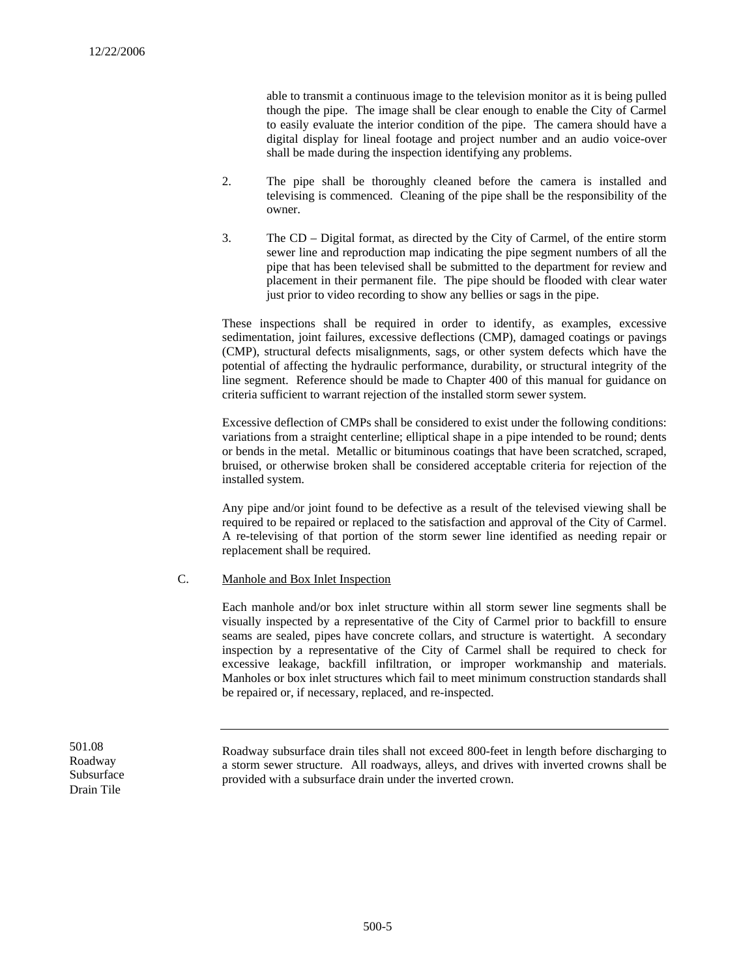able to transmit a continuous image to the television monitor as it is being pulled though the pipe. The image shall be clear enough to enable the City of Carmel to easily evaluate the interior condition of the pipe. The camera should have a digital display for lineal footage and project number and an audio voice-over shall be made during the inspection identifying any problems.

- 2. The pipe shall be thoroughly cleaned before the camera is installed and televising is commenced. Cleaning of the pipe shall be the responsibility of the owner.
- 3. The CD Digital format, as directed by the City of Carmel, of the entire storm sewer line and reproduction map indicating the pipe segment numbers of all the pipe that has been televised shall be submitted to the department for review and placement in their permanent file. The pipe should be flooded with clear water just prior to video recording to show any bellies or sags in the pipe.

These inspections shall be required in order to identify, as examples, excessive sedimentation, joint failures, excessive deflections (CMP), damaged coatings or pavings (CMP), structural defects misalignments, sags, or other system defects which have the potential of affecting the hydraulic performance, durability, or structural integrity of the line segment. Reference should be made to Chapter 400 of this manual for guidance on criteria sufficient to warrant rejection of the installed storm sewer system.

Excessive deflection of CMPs shall be considered to exist under the following conditions: variations from a straight centerline; elliptical shape in a pipe intended to be round; dents or bends in the metal. Metallic or bituminous coatings that have been scratched, scraped, bruised, or otherwise broken shall be considered acceptable criteria for rejection of the installed system.

Any pipe and/or joint found to be defective as a result of the televised viewing shall be required to be repaired or replaced to the satisfaction and approval of the City of Carmel. A re-televising of that portion of the storm sewer line identified as needing repair or replacement shall be required.

### C. Manhole and Box Inlet Inspection

Each manhole and/or box inlet structure within all storm sewer line segments shall be visually inspected by a representative of the City of Carmel prior to backfill to ensure seams are sealed, pipes have concrete collars, and structure is watertight. A secondary inspection by a representative of the City of Carmel shall be required to check for excessive leakage, backfill infiltration, or improper workmanship and materials. Manholes or box inlet structures which fail to meet minimum construction standards shall be repaired or, if necessary, replaced, and re-inspected.

Roadway Subsurface Drain Tile

501.08 Roadway subsurface drain tiles shall not exceed 800-feet in length before discharging to a storm sewer structure. All roadways, alleys, and drives with inverted crowns shall be provided with a subsurface drain under the inverted crown.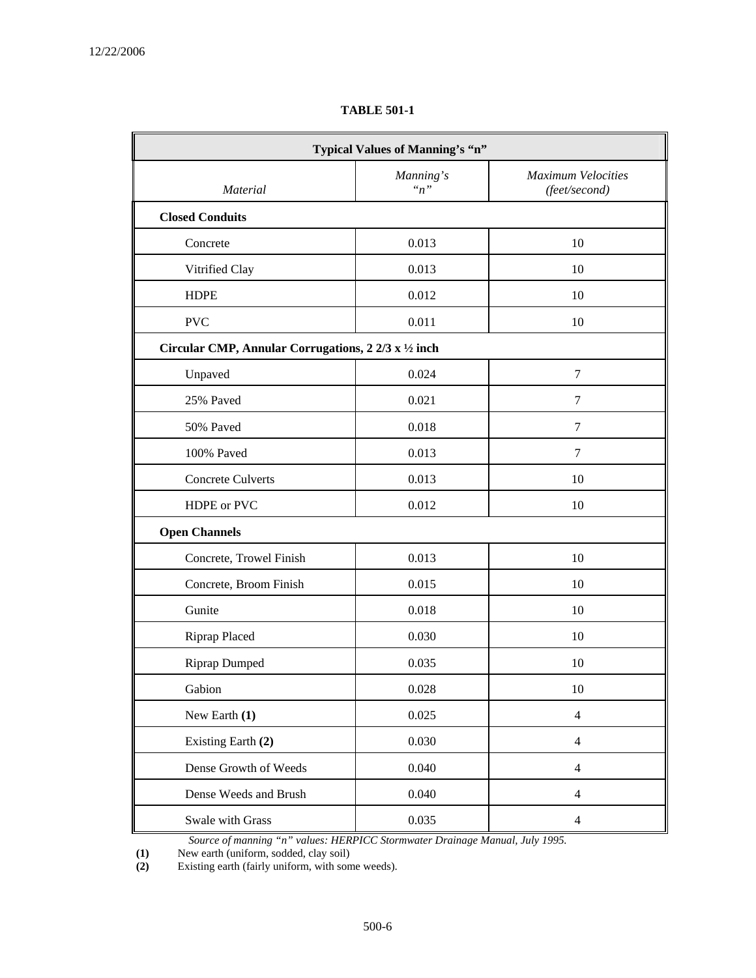| Typical Values of Manning's "n"                                     |                        |                                            |  |  |
|---------------------------------------------------------------------|------------------------|--------------------------------------------|--|--|
| Material                                                            | Manning's<br>$\lq n$ " | <b>Maximum Velocities</b><br>(feet/second) |  |  |
| <b>Closed Conduits</b>                                              |                        |                                            |  |  |
| Concrete                                                            | 0.013                  | 10                                         |  |  |
| Vitrified Clay                                                      | 0.013                  | 10                                         |  |  |
| <b>HDPE</b>                                                         | 0.012                  | 10                                         |  |  |
| <b>PVC</b>                                                          | 0.011                  | 10                                         |  |  |
| Circular CMP, Annular Corrugations, $2\frac{2}{3}x\frac{1}{2}$ inch |                        |                                            |  |  |
| Unpaved                                                             | 0.024                  | 7                                          |  |  |
| 25% Paved                                                           | 0.021                  | 7                                          |  |  |
| 50% Paved                                                           | 0.018                  | $\overline{7}$                             |  |  |
| 100% Paved                                                          | 0.013                  | 7                                          |  |  |
| <b>Concrete Culverts</b>                                            | 0.013                  | 10                                         |  |  |
| HDPE or PVC                                                         | 0.012                  | 10                                         |  |  |
| <b>Open Channels</b>                                                |                        |                                            |  |  |
| Concrete, Trowel Finish                                             | 0.013                  | 10                                         |  |  |
| Concrete, Broom Finish                                              | 0.015                  | 10                                         |  |  |
| Gunite                                                              | 0.018                  | 10                                         |  |  |
| <b>Riprap Placed</b>                                                | 0.030                  | 10                                         |  |  |
| <b>Riprap Dumped</b>                                                | 0.035                  | 10                                         |  |  |
| Gabion                                                              | 0.028                  | 10                                         |  |  |
| New Earth (1)                                                       | 0.025                  | $\overline{4}$                             |  |  |
| Existing Earth (2)                                                  | 0.030                  | $\overline{4}$                             |  |  |
| Dense Growth of Weeds                                               | 0.040                  | $\overline{4}$                             |  |  |
| Dense Weeds and Brush                                               | 0.040                  | 4                                          |  |  |
| Swale with Grass                                                    | 0.035                  | $\overline{\mathcal{L}}$                   |  |  |

**TABLE 501-1** 

*Source of manning "n" values: HERPICC Stormwater Drainage Manual, July 1995.*

 **(1)** New earth (uniform, sodded, clay soil)

 **(2)** Existing earth (fairly uniform, with some weeds).